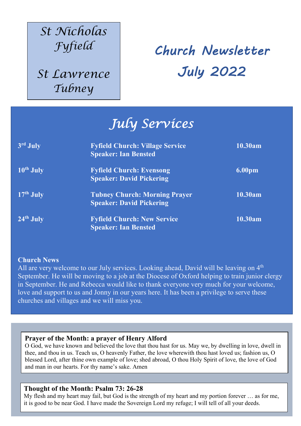## *St Nicholas Fyfield*

*St Lawrence Tubney*

Church Newsletter July 2022

# *July Services*

| 3rd July              | <b>Fyfield Church: Village Service</b><br><b>Speaker: Ian Bensted</b>   | 10.30am            |
|-----------------------|-------------------------------------------------------------------------|--------------------|
| 10 <sup>th</sup> July | <b>Fyfield Church: Evensong</b><br><b>Speaker: David Pickering</b>      | 6.00 <sub>pm</sub> |
| $17th$ July           | <b>Tubney Church: Morning Prayer</b><br><b>Speaker: David Pickering</b> | 10.30am            |
| $24th$ July           | <b>Fyfield Church: New Service</b><br><b>Speaker: Ian Bensted</b>       | 10.30am            |

#### **Church News**

.

All are very welcome to our July services. Looking ahead, David will be leaving on 4<sup>th</sup> September. He will be moving to a job at the Diocese of Oxford helping to train junior clergy in September. He and Rebecca would like to thank everyone very much for your welcome, love and support to us and Jonny in our years here. It has been a privilege to serve these churches and villages and we will miss you.

#### **Prayer of the Month: a prayer of Henry Alford**

blessed Lord, after thine own example of love; shed abroad, O thou Holy Spirit of love, the love of God O God, we have known and believed the love that thou hast for us. May we, by dwelling in love, dwell in thee, and thou in us. Teach us, O heavenly Father, the love wherewith thou hast loved us; fashion us, O and man in our hearts. For thy name's sake. Amen

#### **Thought of the Month: Psalm 73: 26-28**

My flesh and my heart may fail, but God is the strength of my heart and my portion forever … as for me, it is good to be near God. I have made the Sovereign Lord my refuge; I will tell of all your deeds.